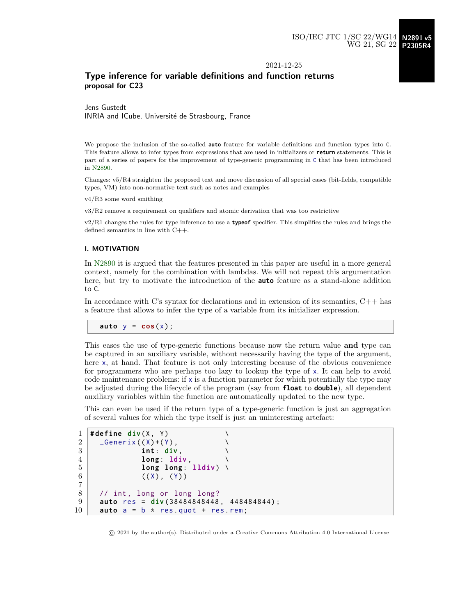#### 2021-12-25

#### Type inference for variable definitions and function returns proposal for C23

Jens Gustedt INRIA and ICube, Université de Strasbourg, France

We propose the inclusion of the so-called **auto** feature for variable definitions and function types into C. This feature allows to infer types from expressions that are used in initializers or **return** statements. This is part of a series of papers for the improvement of type-generic programming in C that has been introduced in [N2890.](http://www.open-std.org/jtc1/sc22/wg14/www/docs/n2890.pdf)

Changes: v5/R4 straighten the proposed text and move discussion of all special cases (bit-fields, compatible types, VM) into non-normative text such as notes and examples

v4/R3 some word smithing

v3/R2 remove a requirement on qualifiers and atomic derivation that was too restrictive

v2/R1 changes the rules for type inference to use a **typeof** specifier. This simplifies the rules and brings the defined semantics in line with C++.

#### I. MOTIVATION

In [N2890](http://www.open-std.org/jtc1/sc22/wg14/www/docs/n2890.pdf) it is argued that the features presented in this paper are useful in a more general context, namely for the combination with lambdas. We will not repeat this argumentation here, but try to motivate the introduction of the **auto** feature as a stand-alone addition to C.

In accordance with C's syntax for declarations and in extension of its semantics,  $C_{++}$  has a feature that allows to infer the type of a variable from its initializer expression.

**auto**  $y = \cos(x)$ ;

This eases the use of type-generic functions because now the return value and type can be captured in an auxiliary variable, without necessarily having the type of the argument, here x, at hand. That feature is not only interesting because of the obvious convenience for programmers who are perhaps too lazy to lookup the type of x. It can help to avoid code maintenance problems: if x is a function parameter for which potentially the type may be adjusted during the lifecycle of the program (say from **float** to **double**), all dependent auxiliary variables within the function are automatically updated to the new type.

This can even be used if the return type of a type-generic function is just an aggregation of several values for which the type itself is just an uninteresting artefact:

```
1 # define div (X , Y ) \
 2 \left| \right. \left. \right. \left. \right. \left. \right. \left. \right. \left. \right. \left. \right. \left. \right. \left. \right. \left. \right. \left. \right. \left. \right. \left. \right. \left. \right. \left. \right. \left. \right. \left. \right. \left. \right. \left. \right. \left. \right. \left. \right. \left. \right. \left. \right. \left. \right. \left.3 int: div,
 4 long : ldiv , \
 5 long long : lldiv ) \
 6 ((X), (Y))7
 8 // int, long or long long?
 9 auto res = div (38484848448 , 448484844) ;
10 auto a = b * res . quot + res . rem;
```
© 2021 by the author(s). Distributed under a Creative Commons Attribution 4.0 International License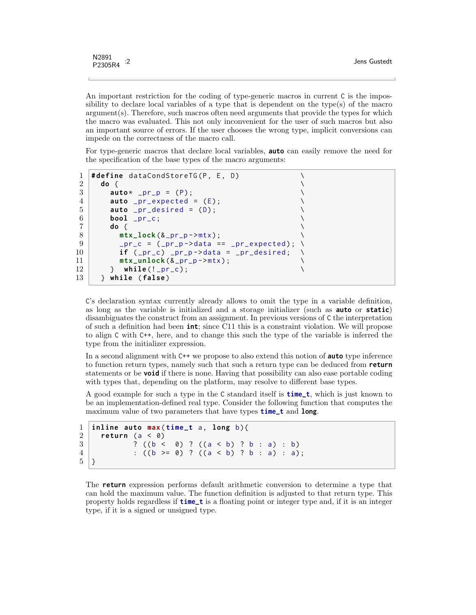| N2891<br>P2305R4 <sup>:2</sup> | Jens Gustedt |
|--------------------------------|--------------|
|                                |              |

An important restriction for the coding of type-generic macros in current C is the impossibility to declare local variables of a type that is dependent on the type(s) of the macro  $argument(s)$ . Therefore, such macros often need arguments that provide the types for which the macro was evaluated. This not only inconvenient for the user of such macros but also an important source of errors. If the user chooses the wrong type, implicit conversions can impede on the correctness of the macro call.

For type-generic macros that declare local variables, **auto** can easily remove the need for the specification of the base types of the macro arguments:

```
1 #define dataCondStoreTG(P, E, D)<br>2 do f
2 \mid do {
3 auto<sup>*</sup> _pr_p = (P);
4 \mid auto _pr_expected = (E);
5 auto \lnot pr\lnot desired = (D);
6 \parallel bool _pr_c; \setminus7 \parallel do { \parallel8 \mid mtx_lock (\&_pr_p->mtx);
9 pr_c = (-pr_p - 3) pr_c = -pr_e and r = 9 pr_c10 if (_pr_c) _pr_p->data = _pr_desired;
11 mtx_unlock (\&_pr_p->mtx);
12 \left| \right. } while(!_pr_c); \left. \right.13 } while ( false )
```
C's declaration syntax currently already allows to omit the type in a variable definition, as long as the variable is initialized and a storage initializer (such as **auto** or **static**) disambiguates the construct from an assignment. In previous versions of C the interpretation of such a definition had been **int**; since C11 this is a constraint violation. We will propose to align C with C++, here, and to change this such the type of the variable is inferred the type from the initializer expression.

In a second alignment with C++ we propose to also extend this notion of **auto** type inference to function return types, namely such that such a return type can be deduced from **return** statements or be **void** if there is none. Having that possibility can also ease portable coding with types that, depending on the platform, may resolve to different base types.

A good example for such a type in the C standard itself is **time\_t**, which is just known to be an implementation-defined real type. Consider the following function that computes the maximum value of two parameters that have types **time\_t** and **long**.

```
1 inline auto max (time_t a, long b) {<br>2 return (a < 0)\begin{array}{c|cc} 2 & \text{return} & (a < 0) \\ 3 & & ? & (b < \end{array}? ((b < 0) ? ((a < b) ? b : a) : b)4 : ((b >= 0) ? ((a < b) ? b : a) : a);
5 }
```
The **return** expression performs default arithmetic conversion to determine a type that can hold the maximum value. The function definition is adjusted to that return type. This property holds regardless if **time\_t** is a floating point or integer type and, if it is an integer type, if it is a signed or unsigned type.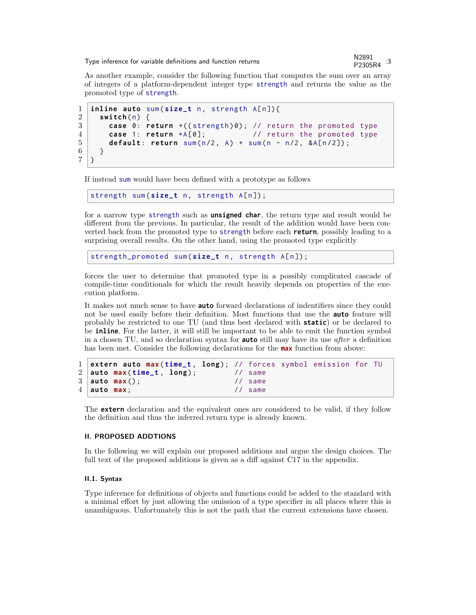N2891<br>Type inference for variable definitions and function returns

As another example, consider the following function that computes the sum over an array of integers of a platform-dependent integer type strength and returns the value as the promoted type of strength.

```
1 inline auto sum ( size_t n, strength A[n]) {
2 switch (n) {
3 case 0: return +(( strength ) 0) ; // return the promoted type
4 case 1: return +A [0]; // return the promoted type
5 default: return sum(n/2, A) + sum(n - n/2, &A[n/2]);
6 }
7 }
```
If instead sum would have been defined with a prototype as follows

strength sum(size\_t n, strength A[n]);

for a narrow type strength such as **unsigned char**, the return type and result would be different from the previous. In particular, the result of the addition would have been converted back from the promoted type to strength before each **return**, possibly leading to a surprising overall results. On the other hand, using the promoted type explicitly

strength\_promoted sum ( **size\_t** n, strength A[n]) ;

forces the user to determine that promoted type in a possibly complicated cascade of compile-time conditionals for which the result heavily depends on properties of the execution platform.

It makes not much sense to have **auto** forward declarations of indentifiers since they could not be used easily before their definition. Most functions that use the **auto** feature will probably be restricted to one TU (and thus best declared with **static**) or be declared to be **inline**. For the latter, it will still be important to be able to emit the function symbol in a chosen TU, and so declaration syntax for **auto** still may have its use after a definition has been met. Consider the following declarations for the **max** function from above:

```
1 extern auto max ( time_t , long ) ; // forces symbol emission for TU
2 auto max ( time_t , long ) ; // same
3 auto max () ; // same
4 auto max ; // same
```
The **extern** declaration and the equivalent ones are considered to be valid, if they follow the definition and thus the inferred return type is already known.

#### II. PROPOSED ADDTIONS

In the following we will explain our proposed additions and argue the design choices. The full text of the proposed additions is given as a diff against C17 in the appendix.

#### II.1. Syntax

Type inference for definitions of objects and functions could be added to the standard with a minimal effort by just allowing the omission of a type specifier in all places where this is unambiguous. Unfortunately this is not the path that the current extensions have chosen.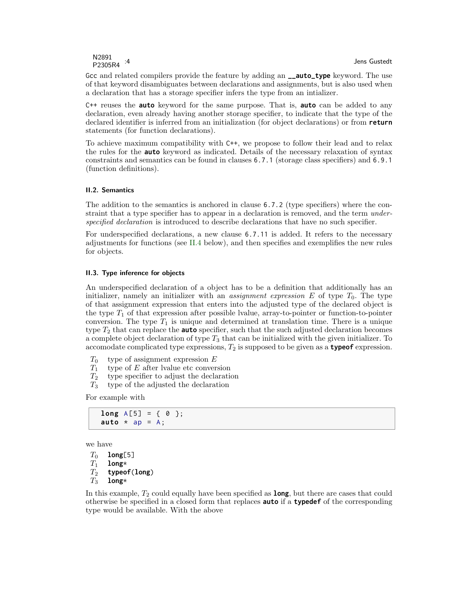Gcc and related compilers provide the feature by adding an **\_\_auto\_type** keyword. The use of that keyword disambiguates between declarations and assignments, but is also used when a declaration that has a storage specifier infers the type from an intializer.

C++ reuses the **auto** keyword for the same purpose. That is, **auto** can be added to any declaration, even already having another storage specifier, to indicate that the type of the declared identifier is inferred from an initialization (for object declarations) or from **return** statements (for function declarations).

To achieve maximum compatibility with C++, we propose to follow their lead and to relax the rules for the **auto** keyword as indicated. Details of the necessary relaxation of syntax constraints and semantics can be found in clauses 6.7.1 (storage class specifiers) and 6.9.1 (function definitions).

#### II.2. Semantics

The addition to the semantics is anchored in clause 6.7.2 (type specifiers) where the constraint that a type specifier has to appear in a declaration is removed, and the term *under*specified declaration is introduced to describe declarations that have no such specifier.

For underspecified declarations, a new clause 6.7.11 is added. It refers to the necessary adjustments for functions (see [II.4](#page-4-0) below), and then specifies and exemplifies the new rules for objects.

#### II.3. Type inference for objects

An underspecified declaration of a object has to be a definition that additionally has an initializer, namely an initializer with an *assignment expression*  $E$  of type  $T_0$ . The type of that assignment expression that enters into the adjusted type of the declared object is the type  $T_1$  of that expression after possible lvalue, array-to-pointer or function-to-pointer conversion. The type  $T_1$  is unique and determined at translation time. There is a unique type  $T_2$  that can replace the **auto** specifier, such that the such adjusted declaration becomes a complete object declaration of type  $T_3$  that can be initialized with the given initializer. To accomodate complicated type expressions, T<sup>2</sup> is supposed to be given as a **typeof** expression.

- $T_0$  type of assignment expression  $E$ <br> $T_1$  type of E after lyalue etc conver
- type of  $E$  after lvalue etc conversion
- $T_2$  type specifier to adjust the declaration
- $T_3$  type of the adjusted the declaration

For example with

**long**  $A[5] = \{ 0 \}$ ;  $\text{auto * ap = A};$ 

we have

```
T_0 long[5]
T_1 long*<br>T_2 typeo
T_2 typeof(long)<br>T_3 long*
     T3 long*
```
In this example,  $T_2$  could equally have been specified as **long**, but there are cases that could otherwise be specified in a closed form that replaces **auto** if a **typedef** of the corresponding type would be available. With the above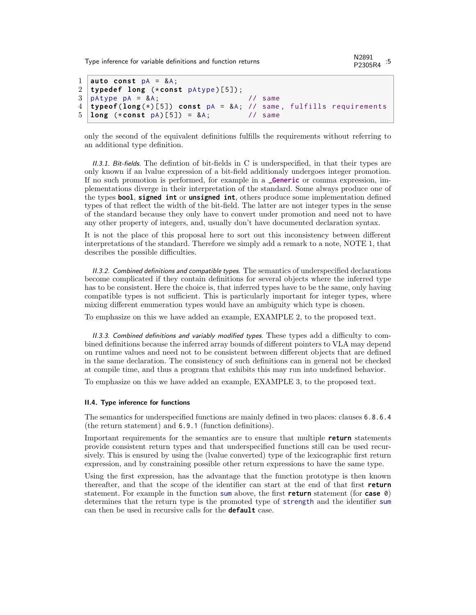Type inference for variable definitions and function returns N2891

```
1 auto const pA = 8A;
2 typedef long (* const pAtype ) [5]) ;
3 \mid pA \text{type } pA = 8A; // same
4 typeof ( long (*) [5]) const pA = &A; // same , fulfills requirements
5 long (* const pA) [5]) = &A; // same
```
only the second of the equivalent definitions fulfills the requirements without referring to an additional type definition.

 $II.3.1.$  Bit-fields. The defintion of bit-fields in C is underspecified, in that their types are only known if an lvalue expression of a bit-field additionaly undergoes integer promotion. If no such promotion is performed, for example in a **\_Generic** or comma expression, implementations diverge in their interpretation of the standard. Some always produce one of the types **bool**, **signed int** or **unsigned int**, others produce some implementation defined types of that reflect the width of the bit-field. The latter are not integer types in the sense of the standard because they only have to convert under promotion and need not to have any other property of integers, and, usually don't have documented declaration syntax.

It is not the place of this proposal here to sort out this inconsistency between different interpretations of the standard. Therefore we simply add a remark to a note, NOTE 1, that describes the possible difficulties.

II.3.2. Combined definitions and compatible types. The semantics of underspecified declarations become complicated if they contain definitions for several objects where the inferred type has to be consistent. Here the choice is, that inferred types have to be the same, only having compatible types is not sufficient. This is particularly important for integer types, where mixing different enumeration types would have an ambiguity which type is chosen.

To emphasize on this we have added an example, EXAMPLE 2, to the proposed text.

II.3.3. Combined definitions and variably modified types. These types add a difficulty to combined definitions because the inferred array bounds of different pointers to VLA may depend on runtime values and need not to be consistent between different objects that are defined in the same declaration. The consistency of such definitions can in general not be checked at compile time, and thus a program that exhibits this may run into undefined behavior.

To emphasize on this we have added an example, EXAMPLE 3, to the proposed text.

#### <span id="page-4-0"></span>II.4. Type inference for functions

The semantics for underspecified functions are mainly defined in two places: clauses 6.8.6.4 (the return statement) and 6.9.1 (function definitions).

Important requirements for the semantics are to ensure that multiple **return** statements provide consistent return types and that underspecified functions still can be used recursively. This is ensured by using the (lvalue converted) type of the lexicographic first return expression, and by constraining possible other return expressions to have the same type.

Using the first expression, has the advantage that the function prototype is then known thereafter, and that the scope of the identifier can start at the end of that first **return** statement. For example in the function sum above, the first **return** statement (for **case** 0) determines that the return type is the promoted type of strength and the identifier sum can then be used in recursive calls for the **default** case.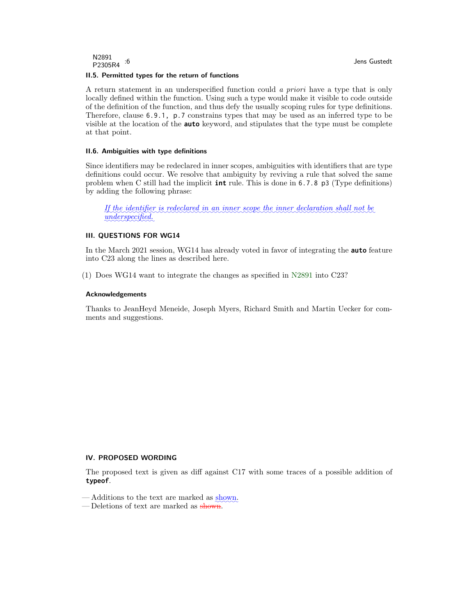

#### II.5. Permitted types for the return of functions

A return statement in an underspecified function could a priori have a type that is only locally defined within the function. Using such a type would make it visible to code outside of the definition of the function, and thus defy the usually scoping rules for type definitions. Therefore, clause 6.9.1, p.7 constrains types that may be used as an inferred type to be visible at the location of the **auto** keyword, and stipulates that the type must be complete at that point.

#### II.6. Ambiguities with type definitions

Since identifiers may be redeclared in inner scopes, ambiguities with identifiers that are type definitions could occur. We resolve that ambiguity by reviving a rule that solved the same problem when C still had the implicit **int** rule. This is done in 6.7.8 p3 (Type definitions) by adding the following phrase:

If the identifier is redeclared in an inner scope the inner declaration shall not be underspecified.

#### III. QUESTIONS FOR WG14

In the March 2021 session, WG14 has already voted in favor of integrating the **auto** feature into C23 along the lines as described here.

(1) Does WG14 want to integrate the changes as specified in [N2891](http://www.open-std.org/jtc1/sc22/wg14/www/docs/n2891.pdf) into C23?

#### Acknowledgements

Thanks to JeanHeyd Meneide, Joseph Myers, Richard Smith and Martin Uecker for comments and suggestions.

#### IV. PROPOSED WORDING

The proposed text is given as diff against C17 with some traces of a possible addition of **typeof**.

- $-$  Additions to the text are marked as shown.
- Deletions of text are marked as shown.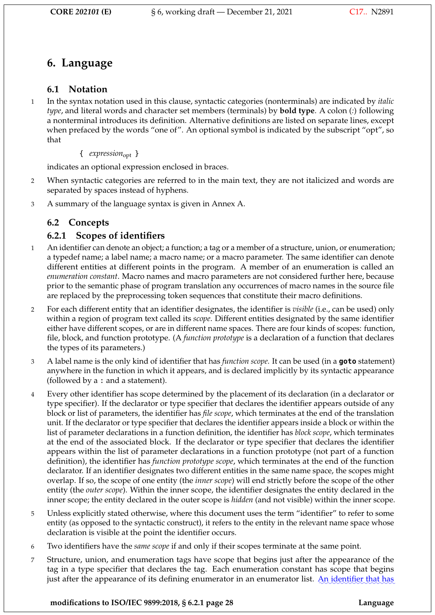# **6. Language**

# **6.1 Notation**

1 In the syntax notation used in this clause, syntactic categories (nonterminals) are indicated by *italic type*, and literal words and character set members (terminals) by **bold type**. A colon (*:*) following a nonterminal introduces its definition. Alternative definitions are listed on separate lines, except when prefaced by the words "one of". An optional symbol is indicated by the subscript "opt", so that

## { *expression*<sub>opt</sub> }

indicates an optional expression enclosed in braces.

- 2 When syntactic categories are referred to in the main text, they are not italicized and words are separated by spaces instead of hyphens.
- 3 A summary of the language syntax is given in Annex A.

# **6.2 Concepts**

# **6.2.1 Scopes of identifiers**

- An identifier can denote an object; a function; a tag or a member of a structure, union, or enumeration; a typedef name; a label name; a macro name; or a macro parameter. The same identifier can denote different entities at different points in the program. A member of an enumeration is called an *enumeration constant*. Macro names and macro parameters are not considered further here, because prior to the semantic phase of program translation any occurrences of macro names in the source file are replaced by the preprocessing token sequences that constitute their macro definitions.
- 2 For each different entity that an identifier designates, the identifier is *visible* (i.e., can be used) only within a region of program text called its *scope*. Different entities designated by the same identifier either have different scopes, or are in different name spaces. There are four kinds of scopes: function, file, block, and function prototype. (A *function prototype* is a declaration of a function that declares the types of its parameters.)
- 3 A label name is the only kind of identifier that has *function scope*. It can be used (in a **goto** statement) anywhere in the function in which it appears, and is declared implicitly by its syntactic appearance (followed by a : and a statement).
- 4 Every other identifier has scope determined by the placement of its declaration (in a declarator or type specifier). If the declarator or type specifier that declares the identifier appears outside of any block or list of parameters, the identifier has *file scope*, which terminates at the end of the translation unit. If the declarator or type specifier that declares the identifier appears inside a block or within the list of parameter declarations in a function definition, the identifier has *block scope*, which terminates at the end of the associated block. If the declarator or type specifier that declares the identifier appears within the list of parameter declarations in a function prototype (not part of a function definition), the identifier has *function prototype scope*, which terminates at the end of the function declarator. If an identifier designates two different entities in the same name space, the scopes might overlap. If so, the scope of one entity (the *inner scope*) will end strictly before the scope of the other entity (the *outer scope*). Within the inner scope, the identifier designates the entity declared in the inner scope; the entity declared in the outer scope is *hidden* (and not visible) within the inner scope.
- 5 Unless explicitly stated otherwise, where this document uses the term "identifier" to refer to some entity (as opposed to the syntactic construct), it refers to the entity in the relevant name space whose declaration is visible at the point the identifier occurs.
- 6 Two identifiers have the *same scope* if and only if their scopes terminate at the same point.
- 7 Structure, union, and enumeration tags have scope that begins just after the appearance of the tag in a type specifier that declares the tag. Each enumeration constant has scope that begins just after the appearance of its defining enumerator in an enumerator list. An identifier that has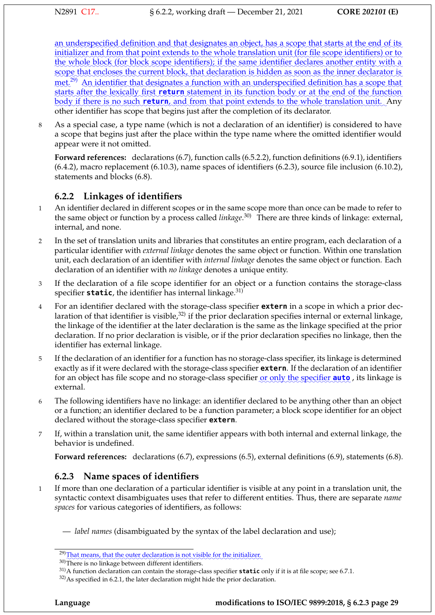an underspecified definition and that designates an object, has a scope that starts at the end of its ✿✿✿✿✿✿✿✿ ✿✿✿✿ ✿✿✿✿✿ ✿✿✿✿✿✿✿✿ ✿✿ ✿✿✿✿✿✿✿✿✿✿ ✿✿✿✿ ✿✿✿ ✿✿✿✿✿✿ ✿✿✿✿✿✿✿✿✿✿ ✿✿ ✿✿✿ initializer and from that point extends to the whole translation unit (for file scope identifiers) or to the whole block (for block scope identifiers); if the same identifier declares another entity with a scope that encloses the current block, that declaration is hidden as soon as the inner declarator is met.<sup>29)</sup> An identifier that designates a function with an underspecified definition has a scope that starts after the lexically first **return** statement in its function body or at the end of the function body if there is no such **return**, and from that point extends to the whole translation unit. Any other identifier has scope that begins just after the completion of its declarator.

As a special case, a type name (which is not a declaration of an identifier) is considered to have a scope that begins just after the place within the type name where the omitted identifier would appear were it not omitted.

**Forward references:** declarations (6.7), function calls (6.5.2.2), function definitions (6.9.1), identifiers (6.4.2), macro replacement (6.10.3), name spaces of identifiers (6.2.3), source file inclusion (6.10.2), statements and blocks (6.8).

# **6.2.2 Linkages of identifiers**

- 1 An identifier declared in different scopes or in the same scope more than once can be made to refer to the same object or function by a process called *linkage*. 30) There are three kinds of linkage: external, internal, and none.
- 2 In the set of translation units and libraries that constitutes an entire program, each declaration of a particular identifier with *external linkage* denotes the same object or function. Within one translation unit, each declaration of an identifier with *internal linkage* denotes the same object or function. Each declaration of an identifier with *no linkage* denotes a unique entity.
- 3 If the declaration of a file scope identifier for an object or a function contains the storage-class specifier **static**, the identifier has internal linkage.<sup>31)</sup>
- 4 For an identifier declared with the storage-class specifier **extern** in a scope in which a prior declaration of that identifier is visible, $32$ ) if the prior declaration specifies internal or external linkage, the linkage of the identifier at the later declaration is the same as the linkage specified at the prior declaration. If no prior declaration is visible, or if the prior declaration specifies no linkage, then the identifier has external linkage.
- 5 If the declaration of an identifier for a function has no storage-class specifier, its linkage is determined exactly as if it were declared with the storage-class specifier **extern**. If the declaration of an identifier for an object has file scope and no storage-class specifier <u>or only the specifier</u> **auto** , its linkage is external.
- 6 The following identifiers have no linkage: an identifier declared to be anything other than an object or a function; an identifier declared to be a function parameter; a block scope identifier for an object declared without the storage-class specifier **extern**.
- 7 If, within a translation unit, the same identifier appears with both internal and external linkage, the behavior is undefined.

**Forward references:** declarations (6.7), expressions (6.5), external definitions (6.9), statements (6.8).

# **6.2.3 Name spaces of identifiers**

- 1 If more than one declaration of a particular identifier is visible at any point in a translation unit, the syntactic context disambiguates uses that refer to different entities. Thus, there are separate *name spaces* for various categories of identifiers, as follows:
	- *label names* (disambiguated by the syntax of the label declaration and use);

<sup>&</sup>lt;sup>29)</sup>That means, that the outer declaration is not visible for the initializer.

<sup>30)</sup>There is no linkage between different identifiers.

<sup>31)</sup>A function declaration can contain the storage-class specifier **static** only if it is at file scope; see 6.7.1.

 $32$ )As specified in 6.2.1, the later declaration might hide the prior declaration.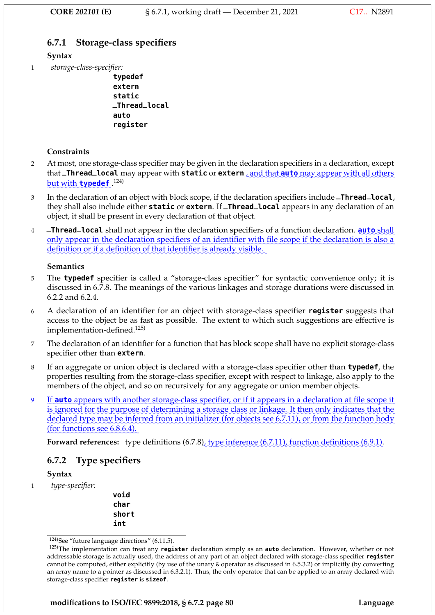# **6.7.1 Storage-class specifiers**

## **Syntax**

1 *storage-class-specifier:*

**typedef extern static \_Thread\_local auto register**

## **Constraints**

- 2 At most, one storage-class specifier may be given in the declaration specifiers in a declaration, except that **\_Thread\_local** may appear with **static** or **extern** , and that **auto** may appear with all others but with **typedef** .<sup>124)</sup>
- <sup>3</sup> In the declaration of an object with block scope, if the declaration specifiers include **\_Thread\_local**, they shall also include either **static** or **extern**. If **\_Thread\_local** appears in any declaration of an object, it shall be present in every declaration of that object.
- 4 **\_Thread\_local** shall not appear in the declaration specifiers of a function declaration. **<u>auto** shall</u> only appear in the declaration specifiers of an identifier with file scope if the declaration is also a definition or if a definition of that identifier is already visible.

## **Semantics**

- 5 The **typedef** specifier is called a "storage-class specifier" for syntactic convenience only; it is discussed in 6.7.8. The meanings of the various linkages and storage durations were discussed in 6.2.2 and 6.2.4.
- 6 A declaration of an identifier for an object with storage-class specifier **register** suggests that access to the object be as fast as possible. The extent to which such suggestions are effective is implementation-defined.125)
- 7 The declaration of an identifier for a function that has block scope shall have no explicit storage-class specifier other than **extern**.
- 8 If an aggregate or union object is declared with a storage-class specifier other than **typedef**, the properties resulting from the storage-class specifier, except with respect to linkage, also apply to the members of the object, and so on recursively for any aggregate or union member objects.
- 9 If **auto** appears with another storage-class specifier, or if it appears in a declaration at file scope it is ignored for the purpose of determining a storage class or linkage. It then only indicates that the declared type may be inferred from an initializer (for objects see 6.7.11), or from the function body (for functions see  $6.8.6.4$ ).

**Forward references:** type definitions (6.7.8), type inference (6.7.11), function definitions (6.9.1).

# **6.7.2 Type specifiers**

## **Syntax**

1 *type-specifier:*

**void char short int**

<sup>&</sup>lt;sup>124)</sup>See "future language directions" (6.11.5).

<sup>125)</sup>The implementation can treat any **register** declaration simply as an **auto** declaration. However, whether or not addressable storage is actually used, the address of any part of an object declared with storage-class specifier **register** cannot be computed, either explicitly (by use of the unary & operator as discussed in 6.5.3.2) or implicitly (by converting an array name to a pointer as discussed in 6.3.2.1). Thus, the only operator that can be applied to an array declared with storage-class specifier **register** is **sizeof**.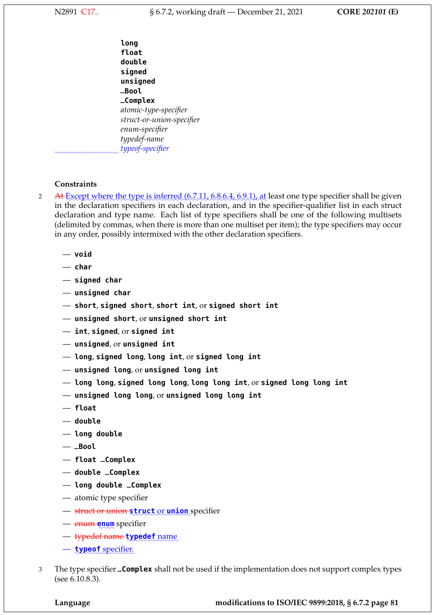**long float double signed unsigned \_Bool \_Complex** *atomic-type-specifier struct-or-union-specifier enum-specifier typedef-name* ✿✿✿✿✿✿✿✿✿✿✿✿✿✿✿✿ *typeof-specifier*

#### **Constraints**

2 At Except where the type is inferred  $(6.7.11, 6.8.6.4, 6.9.1)$ , at least one type specifier shall be given in the declaration specifiers in each declaration, and in the specifier-qualifier list in each struct declaration and type name. Each list of type specifiers shall be one of the following multisets (delimited by commas, when there is more than one multiset per item); the type specifiers may occur in any order, possibly intermixed with the other declaration specifiers.

- **void**
- **char**
- **signed char**
- **unsigned char**
- **short**, **signed short**, **short int**, or **signed short int**
- **unsigned short**, or **unsigned short int**
- **int**, **signed**, or **signed int**
- **unsigned**, or **unsigned int**
- **long**, **signed long**, **long int**, or **signed long int**
- **unsigned long**, or **unsigned long int**
- **long long**, **signed long long**, **long long int**, or **signed long long int**
- **unsigned long long**, or **unsigned long long int**
- **float**
- **double**
- **long double**
- **\_Bool**
- **float \_Complex**
- **double \_Complex**
- **long double \_Complex**
- atomic type specifier
- $-$  <del>struct or union struct</del> or **union** specifier
- enum enum specifier
- <del>typedef name typedef</del> name
- $-$ **typeof** specifier.
- <sup>3</sup> The type specifier **\_Complex** shall not be used if the implementation does not support complex types (see 6.10.8.3).

**Language modifications to ISO/IEC 9899:2018, § 6.7.2 page 81**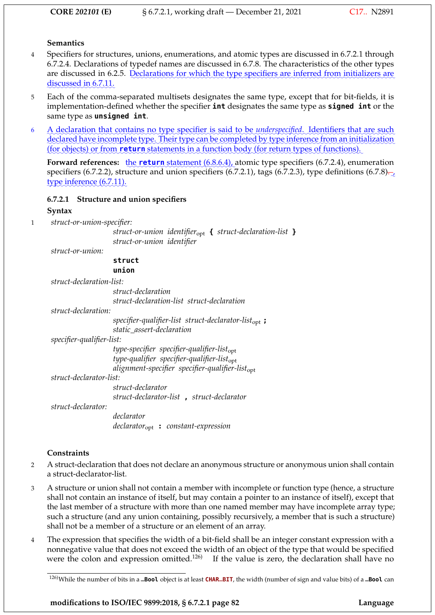#### **Semantics**

- 4 Specifiers for structures, unions, enumerations, and atomic types are discussed in 6.7.2.1 through 6.7.2.4. Declarations of typedef names are discussed in 6.7.8. The characteristics of the other types are discussed in 6.2.5. Declarations for which the type specifiers are inferred from initializers are discussed in 6.7.11.
- 5 Each of the comma-separated multisets designates the same type, except that for bit-fields, it is implementation-defined whether the specifier **int** designates the same type as **signed int** or the same type as **unsigned int**.
- 6 A declaration that contains no type specifier is said to be *underspecified*. Identifiers that are such declared have incomplete type. Their type can be completed by type inference from an initialization (for objects) or from **return** statements in a function body (for return types of functions).

**Forward references:** the **return** statement  $(6.8.6.4)$ , atomic type specifiers (6.7.2.4), enumeration specifiers (6.7.2.2), structure and union specifiers (6.7.2.1), tags (6.7.2.3), type definitions (6.7.8). type inference (6.7.11).

#### **6.7.2.1 Structure and union specifiers**

#### **Syntax**

1 *struct-or-union-specifier:*

*struct-or-union identifier*opt **{** *struct-declaration-list* **}** *struct-or-union identifier*

*struct-or-union:*

**struct union**

*struct-declaration-list:*

*struct-declaration struct-declaration-list struct-declaration*

*struct-declaration:*

| specifier-qualifier-list struct-declarator-list <sub>opt</sub> : |  |  |
|------------------------------------------------------------------|--|--|
| static_assert-declaration                                        |  |  |

*specifier-qualifier-list:*

*type-specifier specifier-qualifier-list*<sub>opt</sub> *type-qualifier specifier-qualifier-list*<sub>opt</sub> alignment-specifier specifier-qualifier-list<sub>opt</sub> *struct-declarator-list: struct-declarator struct-declarator-list* **,** *struct-declarator struct-declarator: declarator declarator*opt **:** *constant-expression*

## **Constraints**

- 2 A struct-declaration that does not declare an anonymous structure or anonymous union shall contain a struct-declarator-list.
- 3 A structure or union shall not contain a member with incomplete or function type (hence, a structure shall not contain an instance of itself, but may contain a pointer to an instance of itself), except that the last member of a structure with more than one named member may have incomplete array type; such a structure (and any union containing, possibly recursively, a member that is such a structure) shall not be a member of a structure or an element of an array.
- 4 The expression that specifies the width of a bit-field shall be an integer constant expression with a nonnegative value that does not exceed the width of an object of the type that would be specified were the colon and expression omitted.<sup>126)</sup> If the value is zero, the declaration shall have no

<sup>126)</sup>While the number of bits in a **\_Bool** object is at least **CHAR\_BIT**, the width (number of sign and value bits) of a **\_Bool** can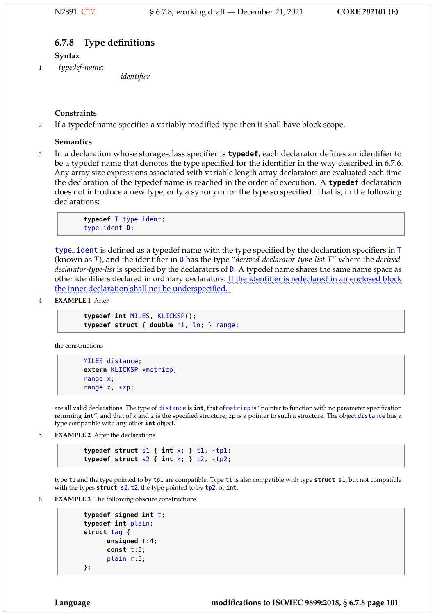# **6.7.8 Type definitions**

#### **Syntax**

1 *typedef-name:*

```
identifier
```
#### **Constraints**

2 If a typedef name specifies a variably modified type then it shall have block scope.

#### **Semantics**

3 In a declaration whose storage-class specifier is **typedef**, each declarator defines an identifier to be a typedef name that denotes the type specified for the identifier in the way described in 6.7.6. Any array size expressions associated with variable length array declarators are evaluated each time the declaration of the typedef name is reached in the order of execution. A **typedef** declaration does not introduce a new type, only a synonym for the type so specified. That is, in the following declarations:

> **typedef** T type\_ident; type\_ident D;

type\_ident is defined as a typedef name with the type specified by the declaration specifiers in T (known as *T*), and the identifier in D has the type "*derived-declarator-type-list T*" where the *deriveddeclarator-type-list* is specified by the declarators of D. A typedef name shares the same name space as other identifiers declared in ordinary declarators. If the identifier is redeclared in an enclosed block the inner declaration shall not be underspecified.

4 **EXAMPLE 1** After

**typedef int** MILES, KLICKSP(); **typedef struct** { **double** hi, lo; } range;

the constructions

```
MILES distance;
extern KLICKSP *metricp;
range x;
range z, *zp;
```
are all valid declarations. The type of distance is **int**, that of metricp is "pointer to function with no parameter specification returning **int**", and that of x and z is the specified structure; zp is a pointer to such a structure. The object distance has a type compatible with any other **int** object.

5 **EXAMPLE 2** After the declarations

**typedef struct** s1 { **int** x; } t1, \*tp1; **typedef struct** s2 { **int** x; } t2, \*tp2;

type t1 and the type pointed to by tp1 are compatible. Type t1 is also compatible with type **struct** s1, but not compatible with the types **struct** s2, t2, the type pointed to by tp2, or **int**.

6 **EXAMPLE 3** The following obscure constructions

```
typedef signed int t;
typedef int plain;
struct tag {
      unsigned t:4;
      const t:5;
      plain r:5;
};
```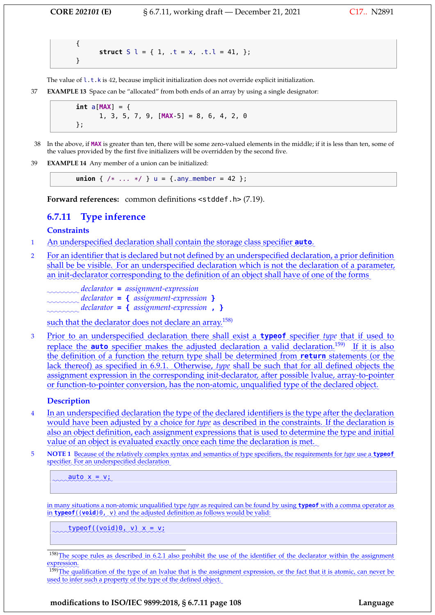{

}

**struct**  $S$  l = { 1, .t = x, .t.l = 41, };

The value of l.t.k is 42, because implicit initialization does not override explicit initialization.

37 **EXAMPLE 13** Space can be "allocated" from both ends of an array by using a single designator:

```
int a[MAX] = {
      1, 3, 5, 7, 9, [MAX-5] = 8, 6, 4, 2, 0
};
```
- 38 In the above, if **MAX** is greater than ten, there will be some zero-valued elements in the middle; if it is less than ten, some of the values provided by the first five initializers will be overridden by the second five.
- 39 **EXAMPLE 14** Any member of a union can be initialized:

**union**  $\{ / * ... * / }$  **u** =  $\{ .any\_member = 42 \}$ ;

**Forward references:** common definitions <stddef.h> (7.19).

# **6.7.11 Type inference**

#### **Constraints**

- 1 An underspecified declaration shall contain the storage class specifier **auto**.
- 2 ✿✿✿ ✿✿✿ ✿✿✿✿ ✿✿ ✿✿✿✿✿✿✿✿ ✿✿✿✿ ✿✿✿✿✿✿✿ ✿✿ ✿✿✿✿✿✿✿✿✿ For an identifier that is declared but not defined by an underspecified declaration, a prior definition shall be be visible. For an underspecified declaration which is not the declaration of a parameter, an init-declarator corresponding to the definition of an object shall have of one of the forms

✿✿✿✿✿✿✿✿ *declarator* **=** *assignment-expression* ✿✿✿✿✿✿✿✿ *declarator* **= {** *assignment-expression* **}** ✿✿✿✿✿✿✿✿ *declarator* **= {** *assignment-expression* **, }**

such that the declarator does not declare an array.<sup>158)</sup>

3 Prior to an underspecified declaration there shall exist a **typeof** specifier type that if used to replace the **auto** specifier makes the adjusted declaration a valid declaration.<sup>159)</sup> If it is also deck thereof) as specified in 6.9.1. Otherwise, *type* shall be such that for all defined objects the the definition of a function the return type shall be determined from **return** statements (or the ✿✿✿✿ ✿✿✿ ✿✿✿✿✿✿✿✿✿ ✿✿✿✿✿ ✿✿✿✿ ✿✿✿ ✿✿✿✿ ✿✿✿ ✿✿✿ ✿✿✿✿✿✿✿ ✿✿✿✿ assignment expression in the corresponding init-declarator, after possible lyalue, array-to-pointer or function-to-pointer conversion, has the non-atomic, unqualified type of the declared object.

#### **Description**

- 4 In an underspecified declaration the type of the declared identifiers is the type after the declaration would have been adjusted by a choice for type as described in the constraints. If the declaration is ✿✿✿✿ ✿✿✿✿✿✿✿✿✿ ✿✿✿✿✿ ✿✿✿✿✿✿✿✿✿✿✿ ✿✿✿✿ ✿✿ ✿✿✿✿✿ also an object definition, each assignment expressions that is used to determine the type and initial value of an object is evaluated exactly once each time the declaration is met.
- **NOTE 1** Because of the relatively complex syntax and semantics of type specifiers, the requirements for type use a **typeof** ✿✿✿✿✿ ✿✿ ✿✿✿ ✿✿✿✿✿✿✿ ✿✿✿✿✿✿ specifier. For an underspecified declaration

www.auto\_x\_=\_v;

in many situations a non-atomic unqualified type type as required can be found by using **typeof** with a comma operator as in **typeof**((**void**)0, v) and the adjusted definition as follows would be valid:

www.typeof((void)0, v) x = vi

158) The scope rules as described in 6.2.1 also prohibit the use of the identifier of the declarator within the assignment expression.

159) The qualification of the type of an Ivalue that is the assignment expression, or the fact that it is atomic, can never be used to infer such a property of the type of the defined object.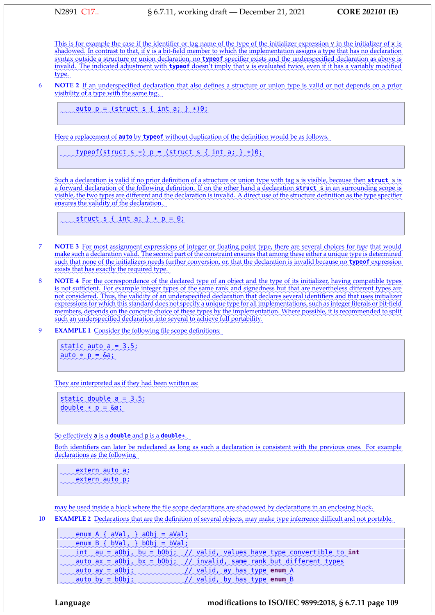✿✿✿ ✿✿ ✿✿ ✿✿✿✿✿✿✿ ✿✿ ✿✿✿✿ ✿ ✿✿✿ ✿✿✿✿✿✿✿ ✿✿ ✿✿✿ ✿✿✿✿ ✿✿ ✿✿✿ ✿✿✿✿ ✿ ✿✿✿ ✿✿✿✿✿✿✿ ✿✿✿✿✿✿✿✿✿ ✿ ✿✿ ✿✿✿ ✿✿✿✿✿✿✿ ✿✿ ✿ ✿✿ This is for example the case if the identifier or tag name of the type of the initializer expression v in the initializer of x is shadowed. In contrast to that, if y is a bit-field member to which the implementation assigns a type that has no declaration syntax outside a structure or union declaration, no **typeof** specifier exists and the underspecified declaration as above is invalid. The indicated adjustment with **typeof** doesn't imply that v is evaluated twice, even if it has a variably modified type.

6 NOTE 2 If an underspecified declaration that also defines a structure or union type is valid or not depends on a prior visibility of a type with the same tag.

mauto p = (struct s { int ai } \*) li

Here a replacement of **auto** by **typeof** without duplication of the definition would be as follows.

www.typeof(struct.s.\*).p.=.(struct.s.{.int.a;.}.\*)Q;

a forward declaration of the following definition. If on the other hand a declaration struct s in an surrounding scope is Such a declaration is valid if no prior definition of a structure or union type with tag s is visible, because then **struct** s is ✿ ✿✿✿✿✿✿ ✿✿✿✿✿✿✿✿ ✿✿ ✿✿✿ ✿✿✿✿✿✿✿ ✿✿✿✿✿✿✿✿ ✿✿ ✿✿ ✿✿✿ ✿✿✿✿ ✿✿✿✿ ✿ ✿✿✿✿✿✿✿✿✿ ✿✿✿✿✿✿✿ ✿✿ ✿✿ ✿✿✿✿✿✿✿✿✿✿ ✿✿✿✿ ✿✿ visible, the two types are different and the declaration is invalid. A direct use of the structure definition as the type specifier ensures the validity of the declaration.

metruct & { int a; } \* p = 0;

- 7 NOTE 3 For most assignment expressions of integer or floating point type, there are several choices for type that would such that none of the initializers needs further conversion, or, that the declaration is invalid because no **typeof** expression make such a declaration valid. The second part of the constraint ensures that among these either a unique type is determined ✿✿✿ ✿✿✿ ✿✿✿✿ ✿✿ ✿✿✿ ✿✿✿✿✿✿✿✿ ✿✿✿✿ exists that has exactly the required type.
- 8 NOTE 4 For the correspondence of the declared type of an object and the type of its initializer, having compatible types is not sufficient. For example integer types of the same rank and signedness but that are nevertheless different types are not considered. Thus, the validity of an underspecified declaration that declares several identifiers and that uses initializer expressions for which this standard does not specify a unique type for all implementations, such as integer literals or bit-field ✿✿✿✿✿✿✿ ✿✿✿✿✿✿ ✿✿✿ ✿✿ ✿✿✿✿✿✿ ✿✿✿✿✿ ✿✿ ✿✿✿✿ ✿✿✿✿ ✿✿✿ ✿✿ members, depends on the concrete choice of these types by the implementation. Where possible, it is recommended to split such an underspecified declaration into several to achieve full portability.
- **EXAMPLE 1** Consider the following file scope definitions:

✿✿✿✿✿✿ static ✿✿✿✿✿ auto ✿✿ a ✿✿ = ✿✿✿✿ 3.5; ✿✿✿✿ auto ✿\*✿✿✿ p ✿✿ = ✿✿ & ✿ a ✿ ;

They are interpreted as if they had been written as:

static double a = 3.5; double \* p = &a;

So effectively a is a **double** and p is a **double**\*.

✿✿✿ ✿✿✿✿✿✿✿✿ ✿✿✿ ✿✿✿✿ ✿✿ Both identifiers can later be redeclared as long as such a declaration is consistent with the previous ones. For example declarations as the following

www.extern\_auto\_a; extern auto p;

may be used inside a block where the file scope declarations are shadowed by declarations in an enclosing block.

10 **EXAMPLE 2** Declarations that are the definition of several objects, may make type inferrence difficult and not portable.

enum A { aVal, } a0bj = aVal; enum B { bVal, } bObj = bVal; www.automalian.bu = bObj; // valid, values have type convertible to **int** www.auto.ax = aObj, bx = bObj, // invalid, same rank but different types walto ay = a0bji www.www.//valid, ay has type enum A auto by = bObj;  $\sim$  monumal // valid, by has type enum B

#### **Language modifications to ISO/IEC 9899:2018, § 6.7.11 page 109**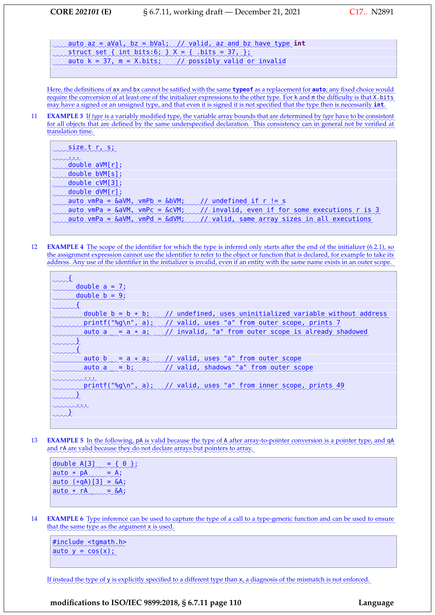www.auto.az = aVal, bz = bVal; // valid, az and bz have\_type\_**int** ✿✿✿✿✿✿✿✿✿✿ struct ✿✿✿✿ set ✿✿ { ✿✿✿ int ✿✿✿✿✿ bits ✿✿✿ :6; ✿✿ } ✿✿ X ✿✿ = ✿✿ { ✿✿ . ✿✿✿✿ bits ✿✿ = ✿✿✿✿ 37, ✿✿✿ }; www.auto.k = 37, m = X.bits; ///possibly\_valid\_or\_invalid

✿✿✿✿ ✿✿ ✿✿✿✿✿✿✿✿ ✿✿ ✿✿ ✿✿✿ ✿✿ ✿✿✿✿✿ ✿✿ ✿✿✿✿✿✿ ✿✿✿ ✿✿✿ ✿✿✿✿ ✿✿✿✿✿✿ ✿ ✿✿ ✿✿✿✿✿✿✿✿✿ ✿✿ ✿✿✿✿ ✿✿✿ ✿✿✿✿ ✿✿✿✿✿ ✿✿✿✿✿ Here, the definitions of ax and bx cannot be satified with the same **typeof** as a replacement for **auto**; any fixed choice would require the conversion of at least one of the initializer expressions to the other type. For k and m the difficulty is that X, bits may have a signed or an unsigned type, and that even it is signed it is not specified that the type then is necessarily **int**.

11 **EXAMPLE 3** If type is a variably modified type, the variable array bounds that are determined by type have to be consistent for all objects that are defined by the same underspecified declaration. This consistency can in general not be verified at ✿✿ ✿✿ ✿✿✿✿✿✿ translation time.

musize\_t r, s; ............<br>................. www.double\_aVM[r]; www.double\_bVM[s]; www.double.cVM[3]; www.double.dVM[r]; auto vmPa = &aVM, vmPb = &bVM; undefined if r != s auto vmPa = &aVM, vmPc = &cVM; invalid, even if for some executions r is 3 www.auto.vmPa = &aVM, vmPd = &dVM; walid, same array sizes in all executions

**EXAMPLE 4** The scope of the identifier for which the type is inferred only starts after the end of the initializer (6.2.1), so the assignment expression cannot use the identifier to refer to the object or function that is declared, for example to take its address. Any use of the identifier in the initializer is invalid, even if an entity with the same name exists in an outer scope.



13 **EXAMPLE 5** In the following, pA is valid because the type of A after array-to-pointer conversion is a pointer type, and gA ✿ ✿✿✿ ✿✿✿✿✿✿✿✿ ✿✿ ✿✿ ✿✿✿✿ ✿✿✿✿✿✿ ✿✿ ✿✿✿✿ ✿✿ ✿ ✿✿✿✿ and rA are valid because they do not declare arrays but pointers to array.

double A[3] \_\_\_\_ { Q }; auto \* pA  $\rightarrow \rightarrow \rightarrow \rightarrow \rightarrow \rightarrow \rightarrow \rightarrow$ <u>auto (\*gA)[3] = &A</u>; auto \* rA

14 **EXAMPLE 6** Type inference can be used to capture the type of a call to a type-generic function and can be used to ensure ✿✿✿ ✿✿✿✿✿✿✿ ✿✿✿ ✿✿ ✿✿✿✿ ✿✿ that the same type as the argument x is used.

#include\_<tgmath.h> auto\_y\_=\_cos(x);

If instead the type of y is explicitly specified to a different type than x, a diagnosis of the mismatch is not enforced.

**modifications to ISO/IEC 9899:2018, § 6.7.11 page 110 Language**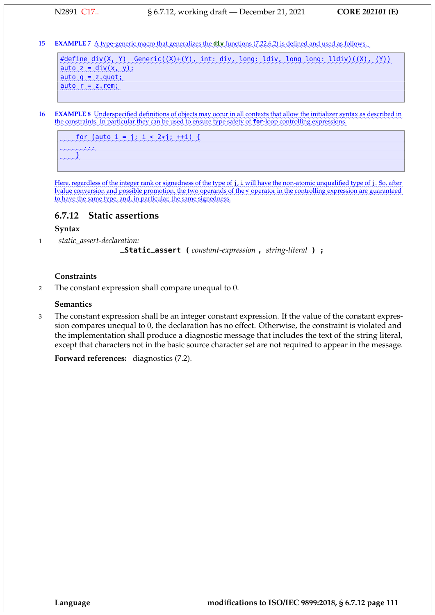**EXAMPLE 7** A type-generic macro that generalizes the **div** functions (7.22.6.2) is defined and used as follows.

#define\_div(X,\_Y)\_\_Generic((X)+(Y),\_int:\_div,\_long:\_ldiv,\_long\_long:\_lldiv)((X),\_(Y))  $\frac{auto}{2} = \frac{div(x, y)}{x}$ auto\_g\_=\_z.guot; auto\_r\_=\_z.rem;

16 EXAMPLE 8 Underspecified definitions of objects may occur in all contexts that allow the initializer syntax as described in the constraints. In particular they can be used to ensure type safety of **for**-loop controlling expressions.

```
mmen laute i = ji i < 2*ji ++i)
✿✿✿✿✿✿✿✿✿
...
mad
```
Ivalue conversion and possible promotion, the two operands of the < operator in the controlling expression are guaranteed Here, regardless of the integer rank or signedness of the type of j, i will have the non-atomic unqualified type of j. So, after ✿✿✿✿ ✿✿✿✿✿✿✿✿✿ ✿✿✿ ✿✿✿✿✿✿ ✿✿✿✿✿✿✿✿ ✿✿✿ ✿✿✿ ✿✿✿✿✿✿✿ to have the same type, and, in particular, the same signedness.

#### **6.7.12 Static assertions**

#### **Syntax**

1 *static\_assert-declaration:*

**\_Static\_assert (** *constant-expression* **,** *string-literal* **) ;**

#### **Constraints**

2 The constant expression shall compare unequal to 0.

#### **Semantics**

3 The constant expression shall be an integer constant expression. If the value of the constant expression compares unequal to 0, the declaration has no effect. Otherwise, the constraint is violated and the implementation shall produce a diagnostic message that includes the text of the string literal, except that characters not in the basic source character set are not required to appear in the message.

**Forward references:** diagnostics (7.2).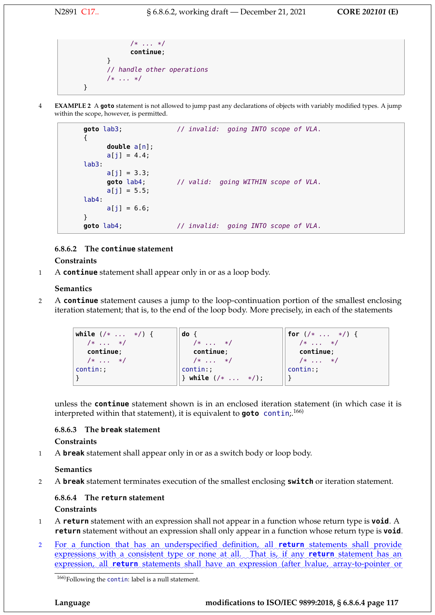#### N2891 C17.. § 6.8.6.2, working draft — December 21, 2021 **CORE** *202101* **(E)**

```
/* ... */
             continue;
      }
      // handle other operations
      /* \dots */}
```
4 **EXAMPLE 2** A **goto** statement is not allowed to jump past any declarations of objects with variably modified types. A jump within the scope, however, is permitted.

```
goto lab3; // invalid: going INTO scope of VLA.
{
     double a[n];
     a[j] = 4.4;lab3:
     a[i] = 3.3;goto lab4; // valid: going WITHIN scope of VLA.
     a[i] = 5.5;lab4:
     a[j] = 6.6;}
goto lab4; // invalid: going INTO scope of VLA.
```
## **6.8.6.2 The continue statement**

#### **Constraints**

1 A **continue** statement shall appear only in or as a loop body.

## **Semantics**

2 A **continue** statement causes a jump to the loop-continuation portion of the smallest enclosing iteration statement; that is, to the end of the loop body. More precisely, in each of the statements

```
while (/* ... */) {
  /* \ldots */continue;
   /* \dots */contin:;
}
                            do {
                               /* \ldots */continue;
                               /* \ldots */contin:;
                            } while (/* ... */);
                                                         for (/* ... */) {
                                                            1* ... *1continue;
                                                            /* \dots */contin:;
                                                         }
```
unless the **continue** statement shown is in an enclosed iteration statement (in which case it is interpreted within that statement), it is equivalent to **goto** contin;.166)

#### **6.8.6.3 The break statement**

## **Constraints**

1 A **break** statement shall appear only in or as a switch body or loop body.

## **Semantics**

2 A **break** statement terminates execution of the smallest enclosing **switch** or iteration statement.

## **6.8.6.4 The return statement**

## **Constraints**

- 1 A **return** statement with an expression shall not appear in a function whose return type is **void**. A **return** statement without an expression shall only appear in a function whose return type is **void**.
- 2 For a function that has an underspecified definition, all return statements shall provide expressions with a consistent type or none at all. That is, if any **return** statement has an expression, all return statements shall have an expression (after lyalue, array-to-pointer or

166)Following the contin: label is a null statement.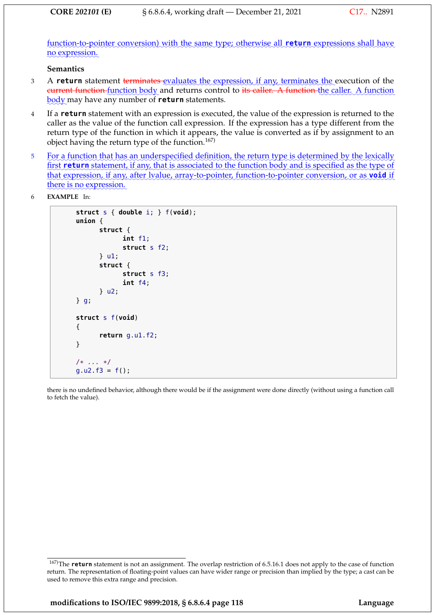function-to-pointer conversion) with the same type; otherwise all **return** expressions shall have no expression.

**Semantics**

- 3 A **return** statement terminates evaluates the expression, if any, terminates the execution of the eurrent function function body and returns control to i<del>ts caller. A function t</del>he caller. A function <u>body</u> may have any number of **return** statements.
- 4 If a **return** statement with an expression is executed, the value of the expression is returned to the caller as the value of the function call expression. If the expression has a type different from the return type of the function in which it appears, the value is converted as if by assignment to an object having the return type of the function. $167$
- 5 For a function that has an underspecified definition, the return type is determined by the lexically first **return** statement, if any, that is associated to the function body and is specified as the type of that expression, if any, after lyalue, array-to-pointer, function-to-pointer conversion, or as **void** if there is no expression.
- 6 **EXAMPLE** In:

```
struct s { double i; } f(void);
union {
      struct {
            int f1;
            struct s f2;
      } u1;
      struct {
            struct s f3;
            int f4;
      } u2;
} g;
struct s f(void)
{
      return g.u1.f2;
}
/* ... */
g.u2.f3 = f();
```
there is no undefined behavior, although there would be if the assignment were done directly (without using a function call to fetch the value).

<sup>167)</sup>The **return** statement is not an assignment. The overlap restriction of 6.5.16.1 does not apply to the case of function return. The representation of floating-point values can have wider range or precision than implied by the type; a cast can be used to remove this extra range and precision.

**modifications to ISO/IEC 9899:2018, § 6.8.6.4 page 118 Language**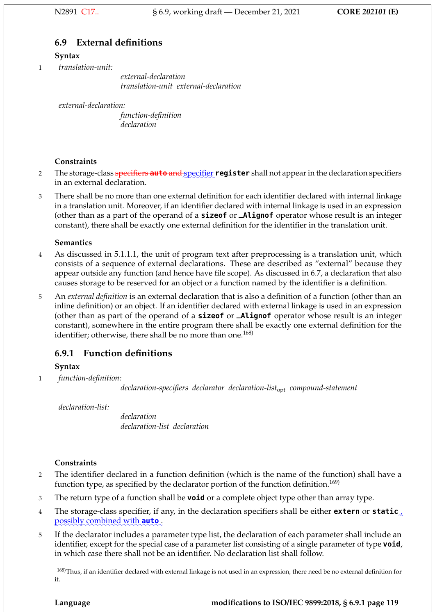# **6.9 External definitions**

**Syntax**

1 *translation-unit:*

*external-declaration translation-unit external-declaration*

*external-declaration:*

*function-definition declaration*

#### **Constraints**

- 2 The storage-class <del>specifiers **auto** and specifier</del> <code>register</code> shall not appear in the declaration specifiers in an external declaration.
- 3 There shall be no more than one external definition for each identifier declared with internal linkage in a translation unit. Moreover, if an identifier declared with internal linkage is used in an expression (other than as a part of the operand of a **sizeof** or **\_Alignof** operator whose result is an integer constant), there shall be exactly one external definition for the identifier in the translation unit.

#### **Semantics**

- 4 As discussed in 5.1.1.1, the unit of program text after preprocessing is a translation unit, which consists of a sequence of external declarations. These are described as "external" because they appear outside any function (and hence have file scope). As discussed in 6.7, a declaration that also causes storage to be reserved for an object or a function named by the identifier is a definition.
- 5 An *external definition* is an external declaration that is also a definition of a function (other than an inline definition) or an object. If an identifier declared with external linkage is used in an expression (other than as part of the operand of a **sizeof** or **\_Alignof** operator whose result is an integer constant), somewhere in the entire program there shall be exactly one external definition for the identifier; otherwise, there shall be no more than one.<sup>168)</sup>

# **6.9.1 Function definitions**

## **Syntax**

1 *function-definition:*

*declaration-specifiers declarator declaration-list*opt *compound-statement*

*declaration-list:*

*declaration declaration-list declaration*

#### **Constraints**

- 2 The identifier declared in a function definition (which is the name of the function) shall have a function type, as specified by the declarator portion of the function definition.<sup>169)</sup>
- 3 The return type of a function shall be **void** or a complete object type other than array type.
- $4$  The storage-class specifier, if any, in the declaration specifiers shall be either **extern** or **static**<sub>a</sub> ✿✿✿✿✿✿✿ possibly✿✿✿✿✿✿✿✿✿✿ combined ✿✿✿✿ with✿✿✿✿✿✿ **auto** .
- 5 If the declarator includes a parameter type list, the declaration of each parameter shall include an identifier, except for the special case of a parameter list consisting of a single parameter of type **void**, in which case there shall not be an identifier. No declaration list shall follow.

<sup>168)</sup>Thus, if an identifier declared with external linkage is not used in an expression, there need be no external definition for it.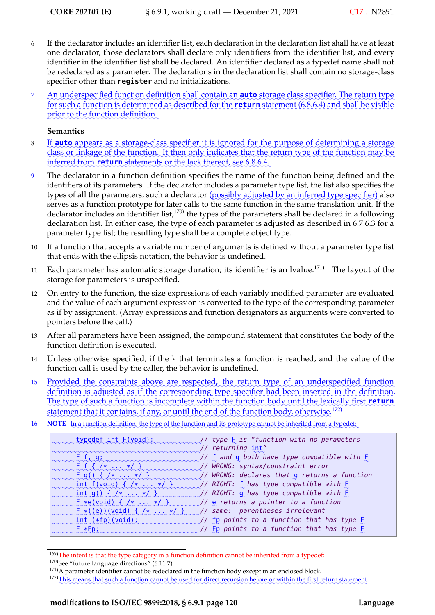- 6 If the declarator includes an identifier list, each declaration in the declaration list shall have at least one declarator, those declarators shall declare only identifiers from the identifier list, and every identifier in the identifier list shall be declared. An identifier declared as a typedef name shall not be redeclared as a parameter. The declarations in the declaration list shall contain no storage-class specifier other than **register** and no initializations.
- 7 An underspecified function definition shall contain an **auto** storage class specifier. The return type for such a function is determined as described for the **return** statement (6.8.6.4) and shall be visible prior to the function definition.

#### **Semantics**

- 8 If **auto** appears as a storage-class specifier it is ignored for the purpose of determining a storage class or linkage of the function. It then only indicates that the return type of the function may be inferred from **return** statements or the lack thereof, see 6.8.6.4.
- 9 The declarator in a function definition specifies the name of the function being defined and the identifiers of its parameters. If the declarator includes a parameter type list, the list also specifies the types of all the parameters; such a declarator (<u>possibly adjusted by an inferred type specifier)</u> also serves as a function prototype for later calls to the same function in the same translation unit. If the declarator includes an identifier list, $170$  the types of the parameters shall be declared in a following declaration list. In either case, the type of each parameter is adjusted as described in 6.7.6.3 for a parameter type list; the resulting type shall be a complete object type.
- 10 If a function that accepts a variable number of arguments is defined without a parameter type list that ends with the ellipsis notation, the behavior is undefined.
- 11 Each parameter has automatic storage duration; its identifier is an lvalue.<sup>171)</sup> The layout of the storage for parameters is unspecified.
- 12 On entry to the function, the size expressions of each variably modified parameter are evaluated and the value of each argument expression is converted to the type of the corresponding parameter as if by assignment. (Array expressions and function designators as arguments were converted to pointers before the call.)
- 13 After all parameters have been assigned, the compound statement that constitutes the body of the function definition is executed.
- 14 Unless otherwise specified, if the } that terminates a function is reached, and the value of the function call is used by the caller, the behavior is undefined.
- 15 Provided the constraints above are respected, the return type of an underspecified function definition is adjusted as if the corresponding type specifier had been inserted in the definition. The type of such a function is incomplete within the function body until the lexically first **return** statement that it contains, if any, or until the end of the function body, otherwise.<sup>172)</sup>
- 16 **NOTE** In a function definition, the type of the function and its prototype cannot be inherited from a typedef:

|                                                                                                                                                                                                                                                                                                                                                                                                                                        | typedef int F(void); \\type F is "function with no parameters                                                    |
|----------------------------------------------------------------------------------------------------------------------------------------------------------------------------------------------------------------------------------------------------------------------------------------------------------------------------------------------------------------------------------------------------------------------------------------|------------------------------------------------------------------------------------------------------------------|
| .                                                                                                                                                                                                                                                                                                                                                                                                                                      | $\frac{1}{2}$ // returning int"                                                                                  |
|                                                                                                                                                                                                                                                                                                                                                                                                                                        | mon Ethelim mummum // t and g both have type compatible with E                                                   |
| equals for the state of the state of the syntax/constraint error                                                                                                                                                                                                                                                                                                                                                                       |                                                                                                                  |
|                                                                                                                                                                                                                                                                                                                                                                                                                                        | mon Full 11 think the monday // WRONG: declares that g returns a function                                        |
|                                                                                                                                                                                                                                                                                                                                                                                                                                        | int $f(void)$ { $\{ \ \ \ast \ \ \ldots \ \ \ast \ \}$ are not a Fig. 17 RIGHT: $f$ has type compatible with $F$ |
|                                                                                                                                                                                                                                                                                                                                                                                                                                        | $int_{\mathbb{R}} g()$ { /*  */ }  // RIGHT: g has type compatible with $E$                                      |
| $F * e(void)$ { $\langle x_1, \ldots, x_n \rangle$ } $\langle y_1, \ldots, y_n \rangle$ } $\langle y_2, \ldots, y_n \rangle$ } $\langle y_1, \ldots, y_n \rangle$ } $\langle y_2, \ldots, y_n \rangle$ } $\langle y_1, \ldots, y_n \rangle$ } $\langle y_2, \ldots, y_n \rangle$ } $\langle y_1, \ldots, y_n \rangle$ } $\langle y_1, \ldots, y_n \rangle$ } $\langle y_1, \ldots, y_n \rangle$ } $\langle y_1, \ldots, y_n \rangle$ } |                                                                                                                  |
| $F*(e)(void)$ { $\star$ $\star$ } (/ same: parentheses irrelevant                                                                                                                                                                                                                                                                                                                                                                      |                                                                                                                  |
|                                                                                                                                                                                                                                                                                                                                                                                                                                        | $\int \frac{\pi}{2} f(x) \left( \frac{x}{2} \right) \left( \frac{y}{2} \right)$                                  |
|                                                                                                                                                                                                                                                                                                                                                                                                                                        | $*Fp$ ; $*Fp$ ; $*Fp$ is a function that has type F                                                              |

169) The intent is that the type category in a tu 170)See "future language directions" (6.11.7).

172) This means that such a function cannot be used for direct recursion before or within the first return statement.

<sup>&</sup>lt;sup>171</sup>)A parameter identifier cannot be redeclared in the function body except in an enclosed block.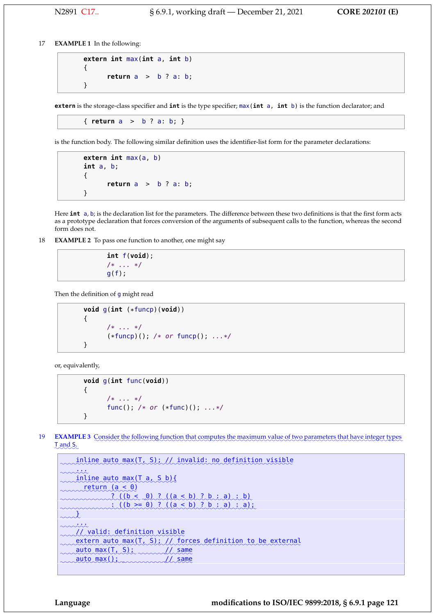17 **EXAMPLE 1** In the following:

```
extern int max(int a, int b)
{
      return a > b ? a: b;
}
```
**extern** is the storage-class specifier and **int** is the type specifier; max(**int** a, **int** b) is the function declarator; and

{ **return** a > b ? a: b; }

is the function body. The following similar definition uses the identifier-list form for the parameter declarations:

```
extern int max(a, b)
int a, b;
{
      return a > b ? a: b;
}
```
Here **int** a, b; is the declaration list for the parameters. The difference between these two definitions is that the first form acts as a prototype declaration that forces conversion of the arguments of subsequent calls to the function, whereas the second form does not.

18 **EXAMPLE 2** To pass one function to another, one might say

**int** f(**void**); /\* ... \*/  $g(f)$ ;

Then the definition of g might read

```
void g(int (*funcp)(void))
{
      /* ... */
      (*funcp)(); /* or funcp(); ...*/
}
```
or, equivalently,

```
void g(int func(void))
{
      /* ... */
      func(); /* or (*func)(); ...*/
}
```
19 **EXAMPLE 3** Consider the following function that computes the maximum value of two parameters that have integer types  $T$  and  $S$ .

```
winline_auto_max(T,_S); //_invalid:_no_definition_visible
✿✿✿✿✿✿✿
   ...
www.inline_auto_max(T_a, _S_b){
mmeturn (a < 0)
✿✿✿✿✿✿✿✿✿✿✿✿✿✿
           ? (10 < 0) ? (1a < 0) ? b : a) : b)www.ww
           : ((b = 0) ? ((a < b) ? b : a) : a) i
mad
✿✿✿✿✿✿✿
   ...
www.walid:definition_visible
wextern auto max(T, S); // forces definition to be external
max(In S) is mundersame
max ();<br>maximum
```